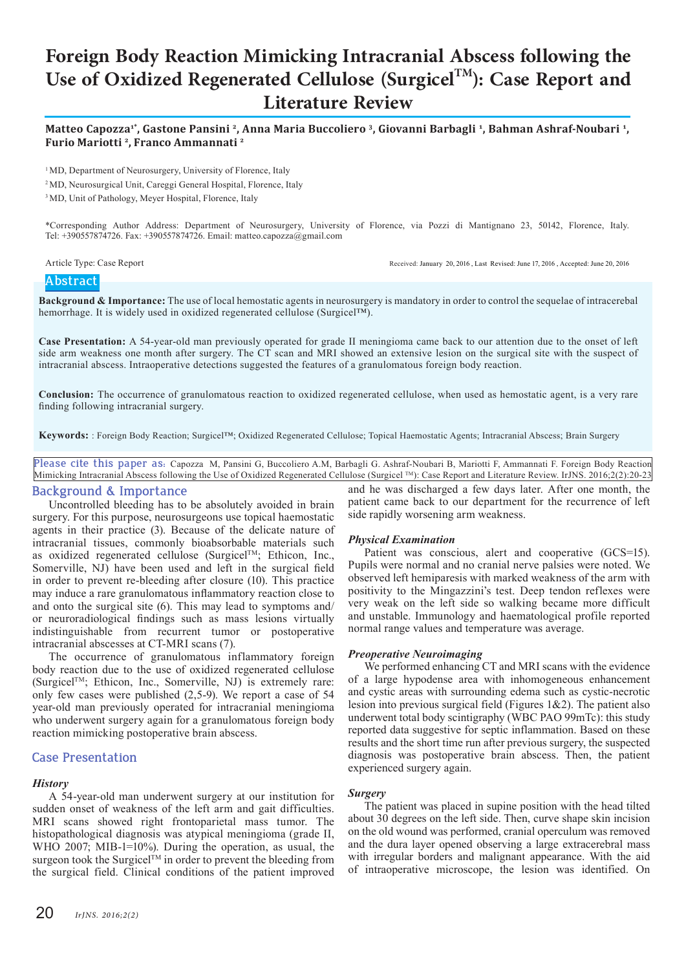# **Foreign Body Reaction Mimicking Intracranial Abscess following the** Use of Oxidized Regenerated Cellulose (Surgicel<sup>TM</sup>): Case Report and **Literature Review**

**Matteo Capozza1\*, Gastone Pansini <sup>2</sup>, Anna Maria Buccoliero <sup>3</sup>, Giovanni Barbagli <sup>1</sup>, Bahman Ashraf-Noubari <sup>1</sup>, Furio Mariotti <sup>2</sup>, Franco Ammannati <sup>2</sup>**

<sup>1</sup>MD, Department of Neurosurgery, University of Florence, Italy

2 MD, Neurosurgical Unit, Careggi General Hospital, Florence, Italy

<sup>3</sup> MD, Unit of Pathology, Meyer Hospital, Florence, Italy

\*Corresponding Author Address: Department of Neurosurgery, University of Florence, via Pozzi di Mantignano 23, 50142, Florence, Italy. Tel: +390557874726. Fax: +390557874726. Email: matteo.capozza@gmail.com

Article Type: Case Report **Received: January 20, 2016**, Last Revised: June 17, 2016, Accepted: June 20, 2016

# **Abstract**

**Background & Importance:** The use of local hemostatic agents in neurosurgery is mandatory in order to control the sequelae of intracerebal hemorrhage. It is widely used in oxidized regenerated cellulose (Surgicel™).

**Case Presentation:** A 54-year-old man previously operated for grade II meningioma came back to our attention due to the onset of left side arm weakness one month after surgery. The CT scan and MRI showed an extensive lesion on the surgical site with the suspect of intracranial abscess. Intraoperative detections suggested the features of a granulomatous foreign body reaction.

**Conclusion:** The occurrence of granulomatous reaction to oxidized regenerated cellulose, when used as hemostatic agent, is a very rare finding following intracranial surgery.

**Keywords:** : Foreign Body Reaction; Surgicel™; Oxidized Regenerated Cellulose; Topical Haemostatic Agents; Intracranial Abscess; Brain Surgery

**Please cite this paper as:** Capozza M, Pansini G, Buccoliero A.M, Barbagli G. Ashraf-Noubari B, Mariotti F, Ammannati F. Foreign Body Reaction Mimicking Intracranial Abscess following the Use of Oxidized Regenerated Cellulose (Surgicel TM): Case Report and Literature Review. IrJNS. 2016;2(2):20-23

# **Background & Importance**

Uncontrolled bleeding has to be absolutely avoided in brain surgery. For this purpose, neurosurgeons use topical haemostatic agents in their practice (3). Because of the delicate nature of intracranial tissues, commonly bioabsorbable materials such as oxidized regenerated cellulose (Surgicel<sup>TM</sup>; Ethicon, Inc., Somerville, NJ) have been used and left in the surgical field in order to prevent re-bleeding after closure (10). This practice may induce a rare granulomatous inflammatory reaction close to and onto the surgical site (6). This may lead to symptoms and/ or neuroradiological findings such as mass lesions virtually indistinguishable from recurrent tumor or postoperative intracranial abscesses at CT-MRI scans (7).

The occurrence of granulomatous inflammatory foreign body reaction due to the use of oxidized regenerated cellulose (SurgicelTM; Ethicon, Inc., Somerville, NJ) is extremely rare: only few cases were published (2,5-9). We report a case of 54 year-old man previously operated for intracranial meningioma who underwent surgery again for a granulomatous foreign body reaction mimicking postoperative brain abscess.

# **Case Presentation**

# *History*

A 54-year-old man underwent surgery at our institution for sudden onset of weakness of the left arm and gait difficulties. MRI scans showed right frontoparietal mass tumor. The histopathological diagnosis was atypical meningioma (grade II, WHO 2007; MIB-1=10%). During the operation, as usual, the surgeon took the Surgicel<sup>TM</sup> in order to prevent the bleeding from the surgical field. Clinical conditions of the patient improved

and he was discharged a few days later. After one month, the patient came back to our department for the recurrence of left side rapidly worsening arm weakness.

# *Physical Examination*

Patient was conscious, alert and cooperative (GCS=15). Pupils were normal and no cranial nerve palsies were noted. We observed left hemiparesis with marked weakness of the arm with positivity to the Mingazzini's test. Deep tendon reflexes were very weak on the left side so walking became more difficult and unstable. Immunology and haematological profile reported normal range values and temperature was average.

# *Preoperative Neuroimaging*

We performed enhancing CT and MRI scans with the evidence of a large hypodense area with inhomogeneous enhancement and cystic areas with surrounding edema such as cystic-necrotic lesion into previous surgical field (Figures  $1&2$ ). The patient also underwent total body scintigraphy (WBC PAO 99mTc): this study reported data suggestive for septic inflammation. Based on these results and the short time run after previous surgery, the suspected diagnosis was postoperative brain abscess. Then, the patient experienced surgery again.

# *Surgery*

The patient was placed in supine position with the head tilted about 30 degrees on the left side. Then, curve shape skin incision on the old wound was performed, cranial operculum was removed and the dura layer opened observing a large extracerebral mass with irregular borders and malignant appearance. With the aid of intraoperative microscope, the lesion was identified. On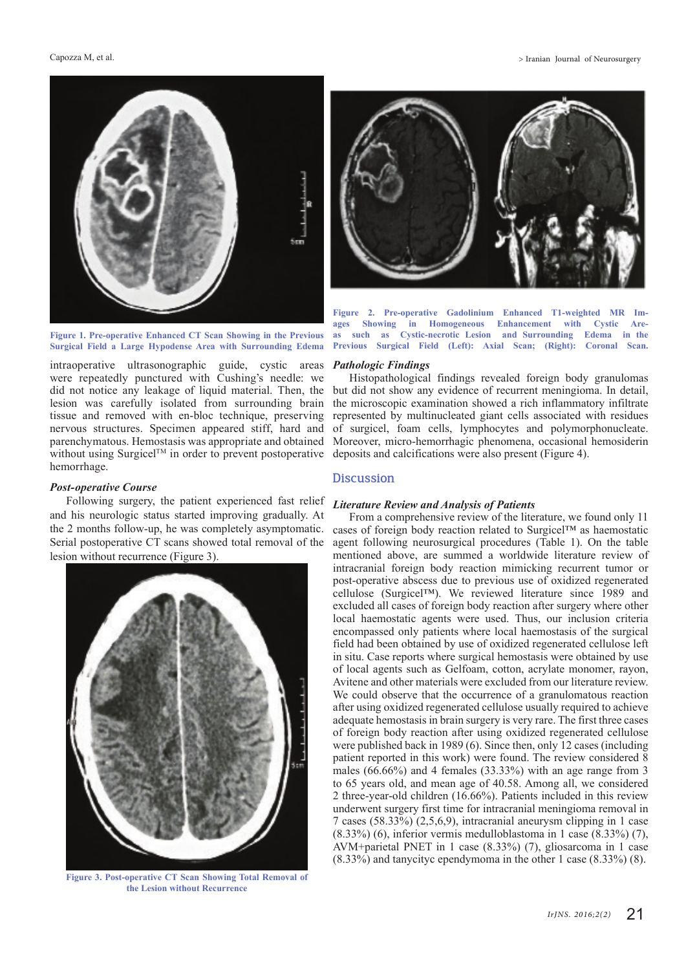

**Figure 1. Pre-operative Enhanced CT Scan Showing in the Previous Surgical Field a Large Hypodense Area with Surrounding Edema**

intraoperative ultrasonographic guide, cystic areas were repeatedly punctured with Cushing's needle: we did not notice any leakage of liquid material. Then, the lesion was carefully isolated from surrounding brain tissue and removed with en-bloc technique, preserving nervous structures. Specimen appeared stiff, hard and parenchymatous. Hemostasis was appropriate and obtained without using Surgicel<sup>TM</sup> in order to prevent postoperative hemorrhage.

## *Post-operative Course*

Following surgery, the patient experienced fast relief and his neurologic status started improving gradually. At the 2 months follow-up, he was completely asymptomatic. Serial postoperative CT scans showed total removal of the lesion without recurrence (Figure 3).



**Figure 3. Post-operative CT Scan Showing Total Removal of the Lesion without Recurrence**



**Figure 2. Pre-operative Gadolinium Enhanced T1-weighted MR Im**in Homogeneous Enhancement with Cystic Are**as such as Cystic-necrotic Lesion and Surrounding Edema in the Previous Surgical Field (Left): Axial Scan; (Right): Coronal Scan.** 

#### *Pathologic Findings*

Histopathological findings revealed foreign body granulomas but did not show any evidence of recurrent meningioma. In detail, the microscopic examination showed a rich inflammatory infiltrate represented by multinucleated giant cells associated with residues of surgicel, foam cells, lymphocytes and polymorphonucleate. Moreover, micro-hemorrhagic phenomena, occasional hemosiderin deposits and calcifications were also present (Figure 4).

## **Discussion**

#### *Literature Review and Analysis of Patients*

From a comprehensive review of the literature, we found only 11 cases of foreign body reaction related to Surgicel™ as haemostatic agent following neurosurgical procedures (Table 1). On the table mentioned above, are summed a worldwide literature review of intracranial foreign body reaction mimicking recurrent tumor or post-operative abscess due to previous use of oxidized regenerated cellulose (Surgicel™). We reviewed literature since 1989 and excluded all cases of foreign body reaction after surgery where other local haemostatic agents were used. Thus, our inclusion criteria encompassed only patients where local haemostasis of the surgical field had been obtained by use of oxidized regenerated cellulose left in situ. Case reports where surgical hemostasis were obtained by use of local agents such as Gelfoam, cotton, acrylate monomer, rayon, Avitene and other materials were excluded from our literature review. We could observe that the occurrence of a granulomatous reaction after using oxidized regenerated cellulose usually required to achieve adequate hemostasis in brain surgery is very rare. The first three cases of foreign body reaction after using oxidized regenerated cellulose were published back in 1989 (6). Since then, only 12 cases (including patient reported in this work) were found. The review considered 8 males (66.66%) and 4 females (33.33%) with an age range from 3 to 65 years old, and mean age of 40.58. Among all, we considered 2 three-year-old children (16.66%). Patients included in this review underwent surgery first time for intracranial meningioma removal in 7 cases (58.33%) (2,5,6,9), intracranial aneurysm clipping in 1 case (8.33%) (6), inferior vermis medulloblastoma in 1 case (8.33%) (7), AVM+parietal PNET in 1 case (8.33%) (7), gliosarcoma in 1 case (8.33%) and tanycityc ependymoma in the other 1 case (8.33%) (8).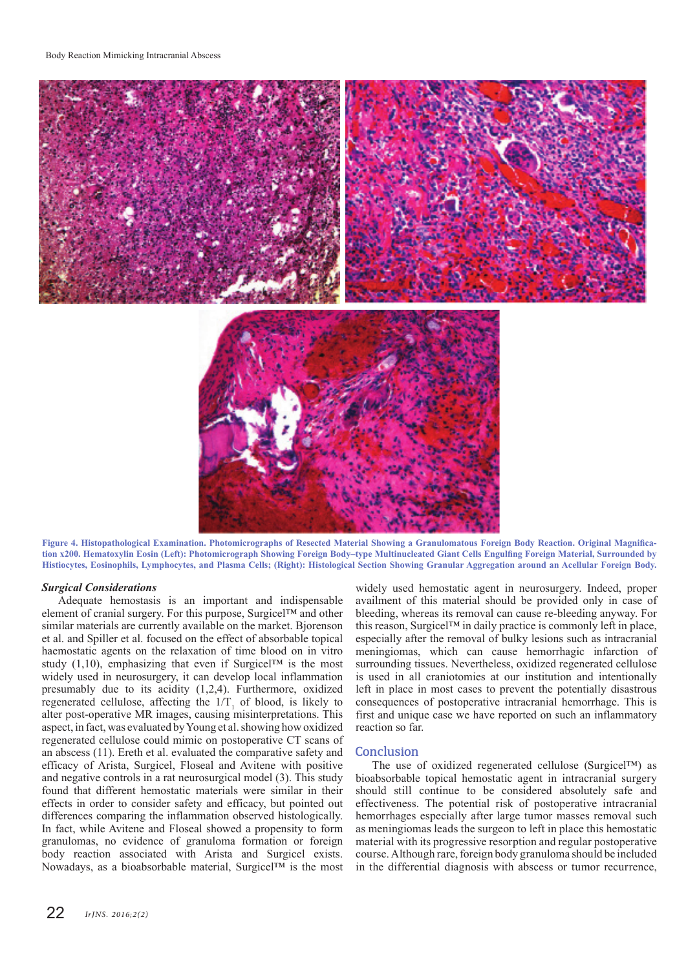

**Figure 4. Histopathological Examination. Photomicrographs of Resected Material Showing a Granulomatous Foreign Body Reaction. Original Magnification x200. Hematoxylin Eosin (Left): Photomicrograph Showing Foreign Body–type Multinucleated Giant Cells Engulfing Foreign Material, Surrounded by Histiocytes, Eosinophils, Lymphocytes, and Plasma Cells; (Right): Histological Section Showing Granular Aggregation around an Acellular Foreign Body.**

## *Surgical Considerations*

Adequate hemostasis is an important and indispensable element of cranial surgery. For this purpose, Surgicel™ and other similar materials are currently available on the market. Bjorenson et al. and Spiller et al. focused on the effect of absorbable topical haemostatic agents on the relaxation of time blood on in vitro study (1,10), emphasizing that even if Surgicel™ is the most widely used in neurosurgery, it can develop local inflammation presumably due to its acidity (1,2,4). Furthermore, oxidized regenerated cellulose, affecting the  $1/T<sub>1</sub>$  of blood, is likely to alter post-operative MR images, causing misinterpretations. This aspect, in fact, was evaluated by Young et al. showing how oxidized regenerated cellulose could mimic on postoperative CT scans of an abscess (11). Ereth et al. evaluated the comparative safety and efficacy of Arista, Surgicel, Floseal and Avitene with positive and negative controls in a rat neurosurgical model (3). This study found that different hemostatic materials were similar in their effects in order to consider safety and efficacy, but pointed out differences comparing the inflammation observed histologically. In fact, while Avitene and Floseal showed a propensity to form granulomas, no evidence of granuloma formation or foreign body reaction associated with Arista and Surgicel exists. Nowadays, as a bioabsorbable material, Surgicel™ is the most

widely used hemostatic agent in neurosurgery. Indeed, proper availment of this material should be provided only in case of bleeding, whereas its removal can cause re-bleeding anyway. For this reason, Surgicel™ in daily practice is commonly left in place, especially after the removal of bulky lesions such as intracranial meningiomas, which can cause hemorrhagic infarction of surrounding tissues. Nevertheless, oxidized regenerated cellulose is used in all craniotomies at our institution and intentionally left in place in most cases to prevent the potentially disastrous consequences of postoperative intracranial hemorrhage. This is first and unique case we have reported on such an inflammatory reaction so far.

## **Conclusion**

The use of oxidized regenerated cellulose (Surgicel™) as bioabsorbable topical hemostatic agent in intracranial surgery should still continue to be considered absolutely safe and effectiveness. The potential risk of postoperative intracranial hemorrhages especially after large tumor masses removal such as meningiomas leads the surgeon to left in place this hemostatic material with its progressive resorption and regular postoperative course. Although rare, foreign body granuloma should be included in the differential diagnosis with abscess or tumor recurrence,